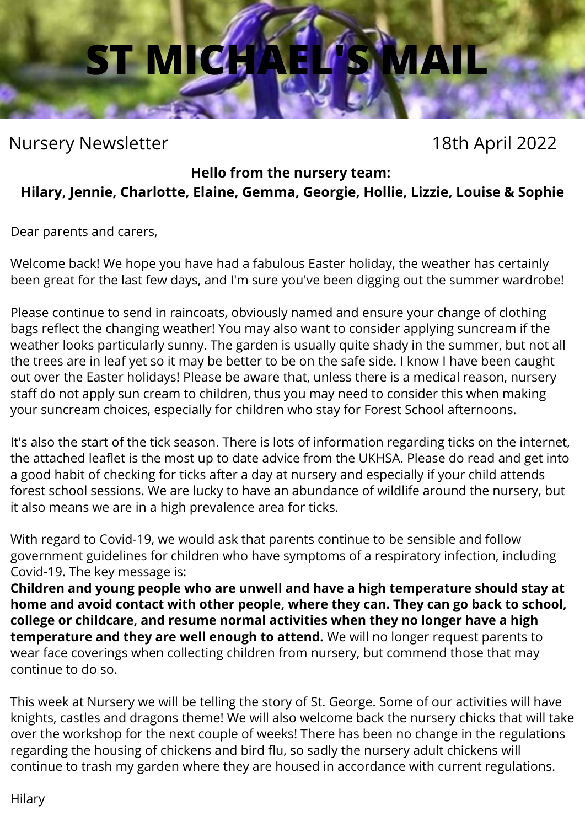## **ST MICHA**

### Nursery Newsletter 18th April 2022

#### **Hello from the nursery team:**

#### **Hilary, Jennie, Charlotte, Elaine, Gemma, Georgie, Hollie, Lizzie, Louise & Sophie**

Dear parents and carers,

Welcome back! We hope you have had a fabulous Easter holiday, the weather has certainly been great for the last few days, and I'm sure you've been digging out the summer wardrobe!

Please continue to send in raincoats, obviously named and ensure your change of clothing bags reflect the changing weather! You may also want to consider applying suncream if the weather looks particularly sunny. The garden is usually quite shady in the summer, but not all the trees are in leaf yet so it may be better to be on the safe side. I know I have been caught out over the Easter holidays! Please be aware that, unless there is a medical reason, nursery staff do not apply sun cream to children, thus you may need to consider this when making your suncream choices, especially for children who stay for Forest School afternoons.

It's also the start of the tick season. There is lots of information regarding ticks on the internet, the attached leaflet is the most up to date advice from the UKHSA. Please do read and get into a good habit of checking for ticks after a day at nursery and especially if your child attends forest school sessions. We are lucky to have an abundance of wildlife around the nursery, but it also means we are in a high prevalence area for ticks.

With regard to Covid-19, we would ask that parents continue to be sensible and follow government guidelines for children who have symptoms of a respiratory infection, including Covid-19. The key message is:

**Children and young people who are unwell and have a high temperature should stay at home and avoid contact with other people, where they can. They can go back to school, college or childcare, and resume normal activities when they no longer have a high temperature and they are well enough to attend.** We will no longer request parents to wear face coverings when collecting children from nursery, but commend those that may continue to do so.

This week at Nursery we will be telling the story of St. George. Some of our activities will have knights, castles and dragons theme! We will also welcome back the nursery chicks that will take over the workshop for the next couple of weeks! There has been no change in the regulations regarding the housing of chickens and bird flu, so sadly the nursery adult chickens will continue to trash my garden where they are housed in accordance with current regulations.

Hilary